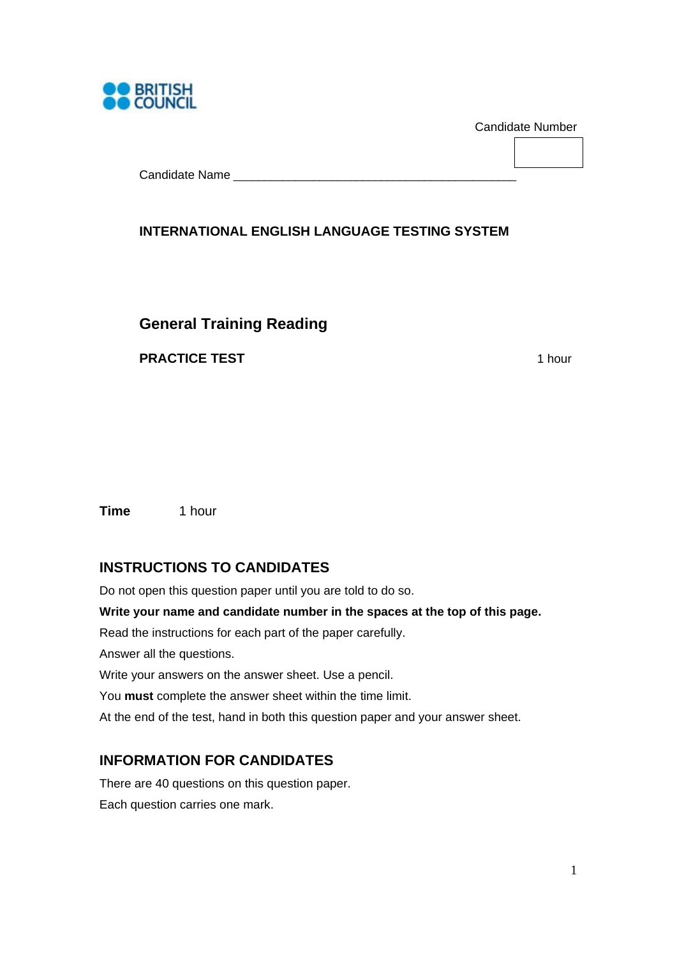

Candidate Number

Candidate Name

## **INTERNATIONAL ENGLISH LANGUAGE TESTING SYSTEM**

## **General Training Reading**

**PRACTICE TEST** 1 hour

**Time** 1 hour

## **INSTRUCTIONS TO CANDIDATES**

Do not open this question paper until you are told to do so. **Write your name and candidate number in the spaces at the top of this page.**  Read the instructions for each part of the paper carefully. Answer all the questions. Write your answers on the answer sheet. Use a pencil. You **must** complete the answer sheet within the time limit. At the end of the test, hand in both this question paper and your answer sheet.

## **INFORMATION FOR CANDIDATES**

There are 40 questions on this question paper. Each question carries one mark.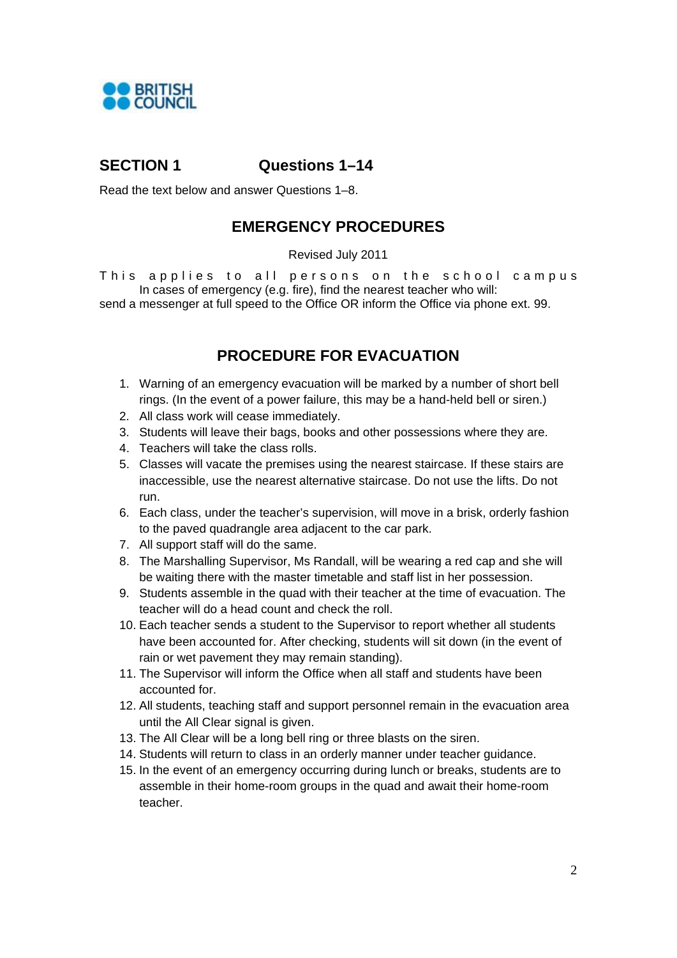

## **SECTION 1 Questions 1–14**

Read the text below and answer Questions 1–8.

## **EMERGENCY PROCEDURES**

#### Revised July 2011

This applies to all persons on the school campus In cases of emergency (e.g. fire), find the nearest teacher who will:

send a messenger at full speed to the Office OR inform the Office via phone ext. 99.

## **PROCEDURE FOR EVACUATION**

- 1. Warning of an emergency evacuation will be marked by a number of short bell rings. (In the event of a power failure, this may be a hand-held bell or siren.)
- 2. All class work will cease immediately.
- 3. Students will leave their bags, books and other possessions where they are.
- 4. Teachers will take the class rolls.
- 5. Classes will vacate the premises using the nearest staircase. If these stairs are inaccessible, use the nearest alternative staircase. Do not use the lifts. Do not run.
- 6. Each class, under the teacher's supervision, will move in a brisk, orderly fashion to the paved quadrangle area adjacent to the car park.
- 7. All support staff will do the same.
- 8. The Marshalling Supervisor, Ms Randall, will be wearing a red cap and she will be waiting there with the master timetable and staff list in her possession.
- 9. Students assemble in the quad with their teacher at the time of evacuation. The teacher will do a head count and check the roll.
- 10. Each teacher sends a student to the Supervisor to report whether all students have been accounted for. After checking, students will sit down (in the event of rain or wet pavement they may remain standing).
- 11. The Supervisor will inform the Office when all staff and students have been accounted for.
- 12. All students, teaching staff and support personnel remain in the evacuation area until the All Clear signal is given.
- 13. The All Clear will be a long bell ring or three blasts on the siren.
- 14. Students will return to class in an orderly manner under teacher guidance.
- 15. In the event of an emergency occurring during lunch or breaks, students are to assemble in their home-room groups in the quad and await their home-room teacher.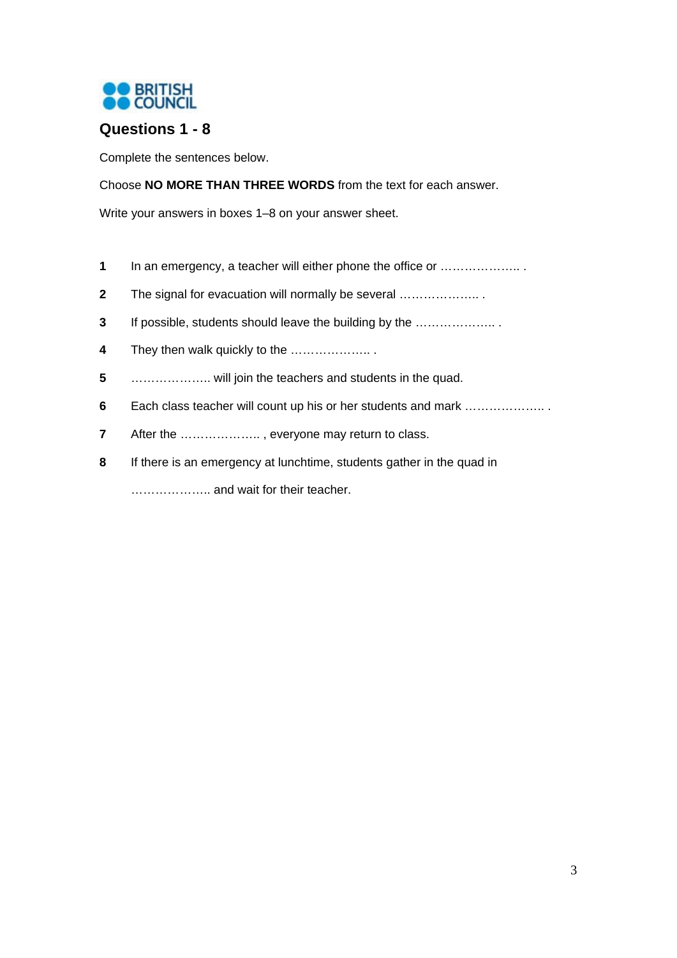

## **Questions 1 - 8**

Complete the sentences below.

Choose **NO MORE THAN THREE WORDS** from the text for each answer.

Write your answers in boxes 1–8 on your answer sheet.

- In an emergency, a teacher will either phone the office or ……………….. .
- The signal for evacuation will normally be several ……………….. .
- If possible, students should leave the building by the ……………….. .
- They then walk quickly to the ……………….. .
- ……………….. will join the teachers and students in the quad.
- Each class teacher will count up his or her students and mark ……………….. .
- After the ……………….. , everyone may return to class.
- If there is an emergency at lunchtime, students gather in the quad in

……………….. and wait for their teacher.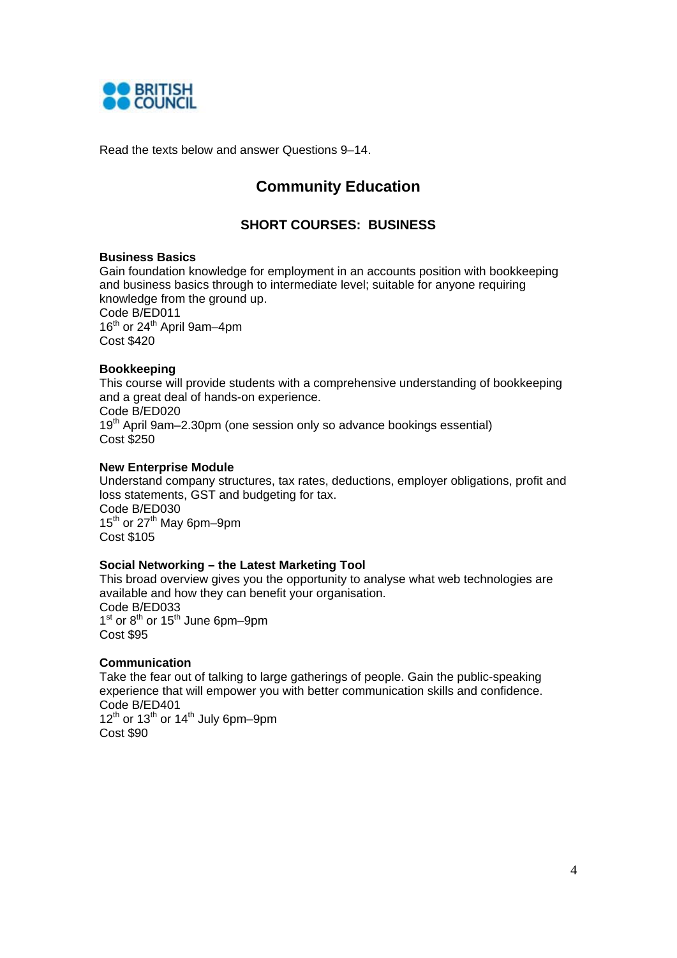

Read the texts below and answer Questions 9–14.

## **Community Education**

### **SHORT COURSES: BUSINESS**

#### **Business Basics**

Gain foundation knowledge for employment in an accounts position with bookkeeping and business basics through to intermediate level; suitable for anyone requiring knowledge from the ground up. Code B/ED011 16<sup>th</sup> or 24<sup>th</sup> April 9am-4pm Cost \$420

#### **Bookkeeping**

This course will provide students with a comprehensive understanding of bookkeeping and a great deal of hands-on experience. Code B/ED020 19<sup>th</sup> April 9am–2.30pm (one session only so advance bookings essential) Cost \$250

#### **New Enterprise Module**

Understand company structures, tax rates, deductions, employer obligations, profit and loss statements, GST and budgeting for tax. Code B/ED030 15<sup>th</sup> or 27<sup>th</sup> May 6pm–9pm Cost \$105

#### **Social Networking – the Latest Marketing Tool**

This broad overview gives you the opportunity to analyse what web technologies are available and how they can benefit your organisation. Code B/ED033  $1<sup>st</sup>$  or  $8<sup>th</sup>$  or  $15<sup>th</sup>$  June 6pm–9pm Cost \$95

#### **Communication**

Take the fear out of talking to large gatherings of people. Gain the public-speaking experience that will empower you with better communication skills and confidence. Code B/ED401 12<sup>th</sup> or 13<sup>th</sup> or 14<sup>th</sup> July 6pm–9pm Cost \$90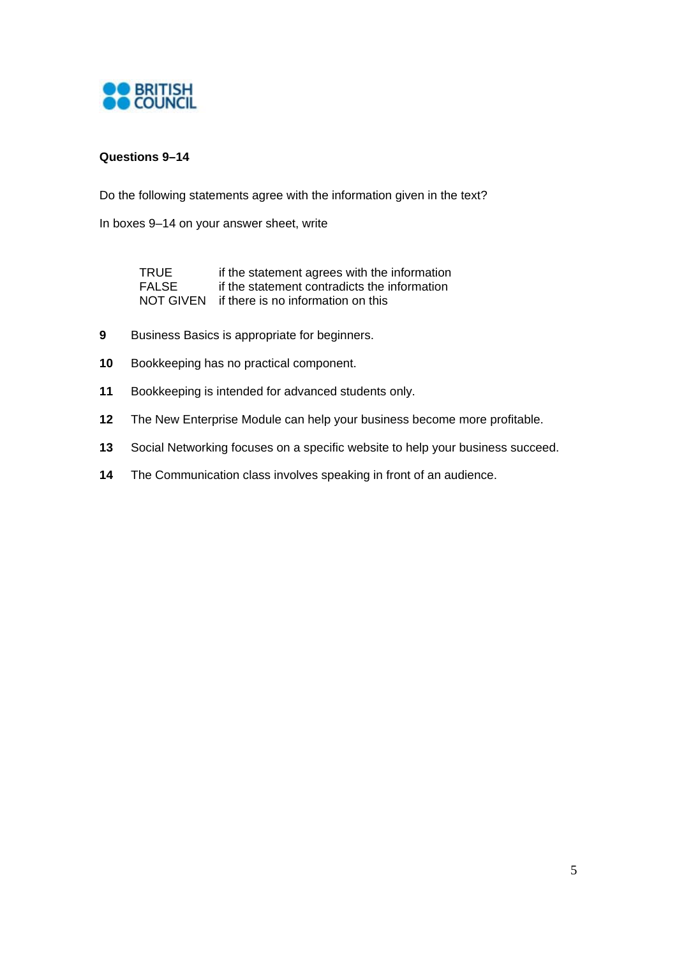

### **Questions 9–14**

Do the following statements agree with the information given in the text?

In boxes 9–14 on your answer sheet, write

| TRUE  | if the statement agrees with the information |
|-------|----------------------------------------------|
| FALSE | if the statement contradicts the information |
|       | NOT GIVEN if there is no information on this |

- **9** Business Basics is appropriate for beginners.
- **10** Bookkeeping has no practical component.
- **11** Bookkeeping is intended for advanced students only.
- **12** The New Enterprise Module can help your business become more profitable.
- **13** Social Networking focuses on a specific website to help your business succeed.
- **14** The Communication class involves speaking in front of an audience.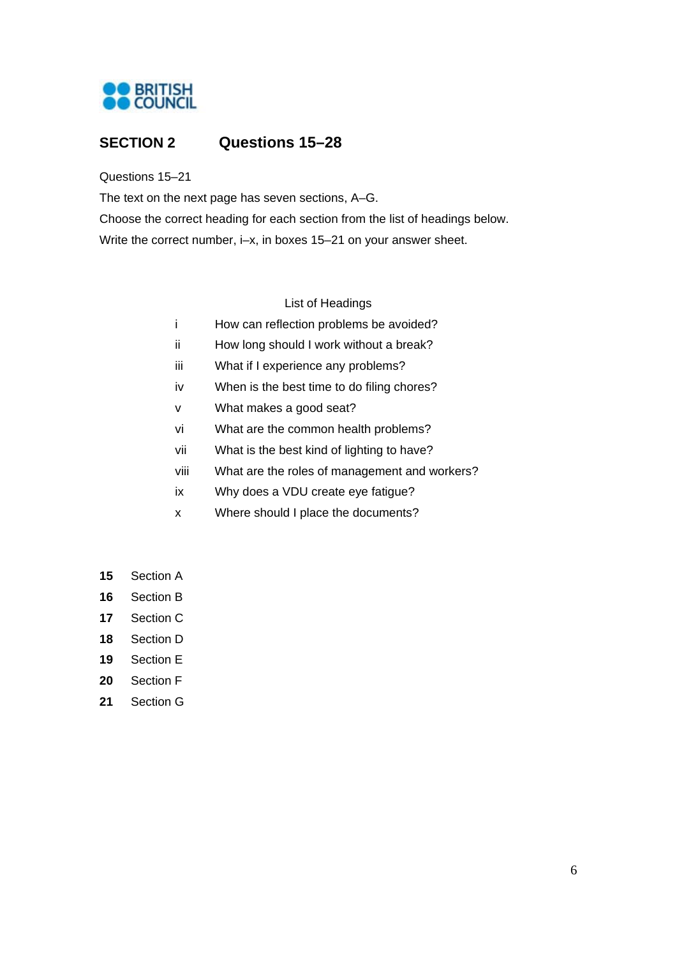

## **SECTION 2 Questions 15–28**

Questions 15–21

The text on the next page has seven sections, A–G.

Choose the correct heading for each section from the list of headings below. Write the correct number, i–x, in boxes 15–21 on your answer sheet.

List of Headings

- i How can reflection problems be avoided?
- ii How long should I work without a break?
- iii What if I experience any problems?
- iv When is the best time to do filing chores?
- v What makes a good seat?
- vi What are the common health problems?
- vii What is the best kind of lighting to have?
- viii What are the roles of management and workers?
- ix Why does a VDU create eye fatigue?
- x Where should I place the documents?
- **15** Section A
- **16** Section B
- **17** Section C
- **18** Section D
- **19** Section E
- **20** Section F
- **21** Section G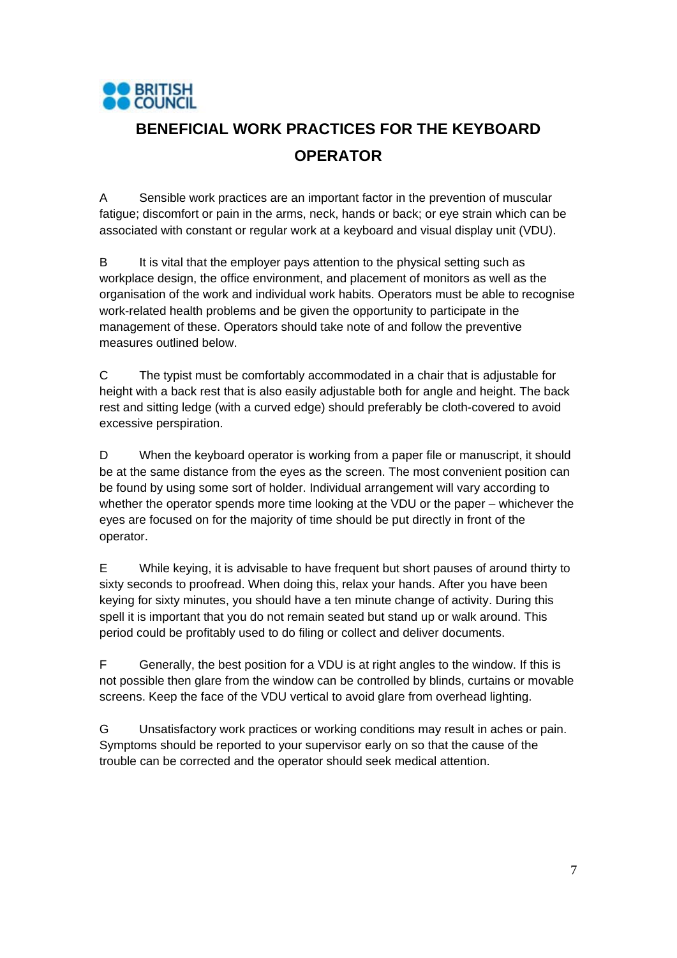

# **BENEFICIAL WORK PRACTICES FOR THE KEYBOARD OPERATOR**

A Sensible work practices are an important factor in the prevention of muscular fatigue; discomfort or pain in the arms, neck, hands or back; or eye strain which can be associated with constant or regular work at a keyboard and visual display unit (VDU).

B It is vital that the employer pays attention to the physical setting such as workplace design, the office environment, and placement of monitors as well as the organisation of the work and individual work habits. Operators must be able to recognise work-related health problems and be given the opportunity to participate in the management of these. Operators should take note of and follow the preventive measures outlined below.

C The typist must be comfortably accommodated in a chair that is adjustable for height with a back rest that is also easily adjustable both for angle and height. The back rest and sitting ledge (with a curved edge) should preferably be cloth-covered to avoid excessive perspiration.

D When the keyboard operator is working from a paper file or manuscript, it should be at the same distance from the eyes as the screen. The most convenient position can be found by using some sort of holder. Individual arrangement will vary according to whether the operator spends more time looking at the VDU or the paper – whichever the eyes are focused on for the majority of time should be put directly in front of the operator.

E While keying, it is advisable to have frequent but short pauses of around thirty to sixty seconds to proofread. When doing this, relax your hands. After you have been keying for sixty minutes, you should have a ten minute change of activity. During this spell it is important that you do not remain seated but stand up or walk around. This period could be profitably used to do filing or collect and deliver documents.

F Generally, the best position for a VDU is at right angles to the window. If this is not possible then glare from the window can be controlled by blinds, curtains or movable screens. Keep the face of the VDU vertical to avoid glare from overhead lighting.

G Unsatisfactory work practices or working conditions may result in aches or pain. Symptoms should be reported to your supervisor early on so that the cause of the trouble can be corrected and the operator should seek medical attention.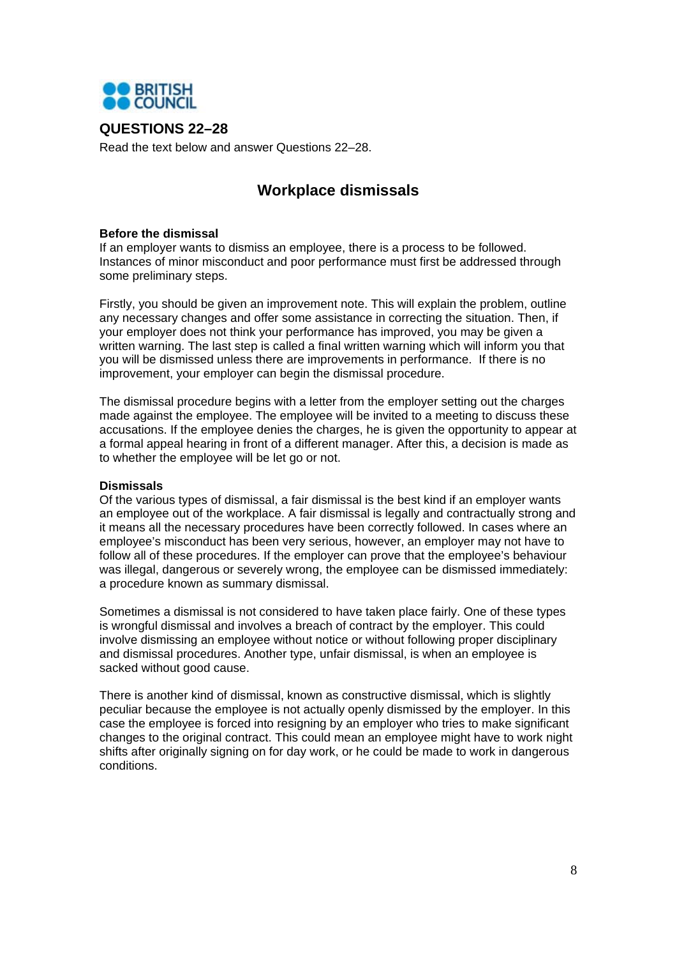

### **QUESTIONS 22–28**

Read the text below and answer Questions 22–28.

## **Workplace dismissals**

#### **Before the dismissal**

If an employer wants to dismiss an employee, there is a process to be followed. Instances of minor misconduct and poor performance must first be addressed through some preliminary steps.

Firstly, you should be given an improvement note. This will explain the problem, outline any necessary changes and offer some assistance in correcting the situation. Then, if your employer does not think your performance has improved, you may be given a written warning. The last step is called a final written warning which will inform you that you will be dismissed unless there are improvements in performance. If there is no improvement, your employer can begin the dismissal procedure.

The dismissal procedure begins with a letter from the employer setting out the charges made against the employee. The employee will be invited to a meeting to discuss these accusations. If the employee denies the charges, he is given the opportunity to appear at a formal appeal hearing in front of a different manager. After this, a decision is made as to whether the employee will be let go or not.

#### **Dismissals**

Of the various types of dismissal, a fair dismissal is the best kind if an employer wants an employee out of the workplace. A fair dismissal is legally and contractually strong and it means all the necessary procedures have been correctly followed. In cases where an employee's misconduct has been very serious, however, an employer may not have to follow all of these procedures. If the employer can prove that the employee's behaviour was illegal, dangerous or severely wrong, the employee can be dismissed immediately: a procedure known as summary dismissal.

Sometimes a dismissal is not considered to have taken place fairly. One of these types is wrongful dismissal and involves a breach of contract by the employer. This could involve dismissing an employee without notice or without following proper disciplinary and dismissal procedures. Another type, unfair dismissal, is when an employee is sacked without good cause.

There is another kind of dismissal, known as constructive dismissal, which is slightly peculiar because the employee is not actually openly dismissed by the employer. In this case the employee is forced into resigning by an employer who tries to make significant changes to the original contract. This could mean an employee might have to work night shifts after originally signing on for day work, or he could be made to work in dangerous conditions.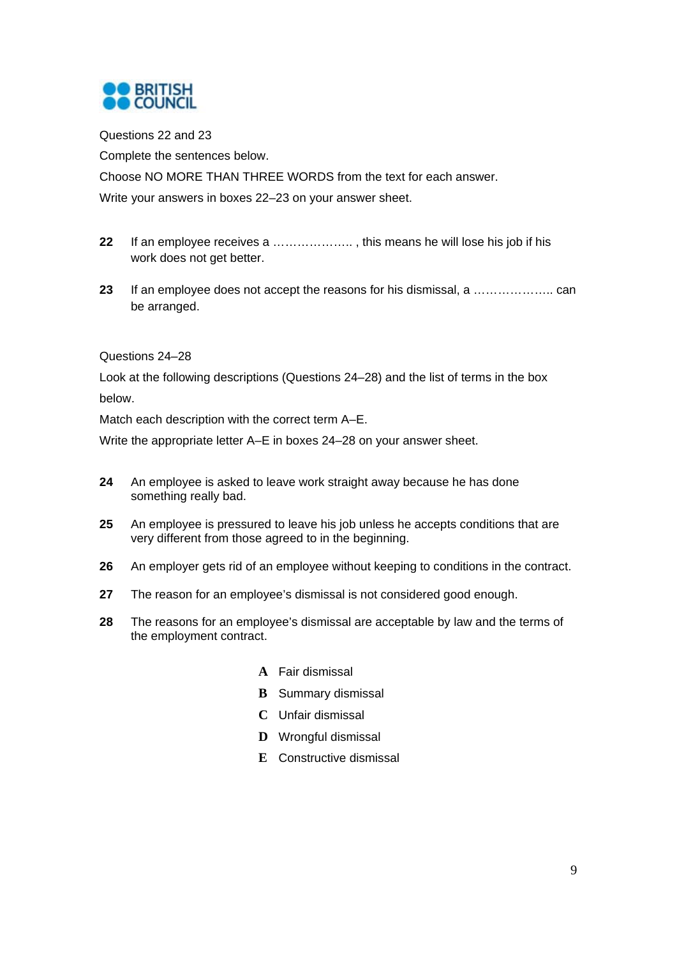

Questions 22 and 23

Complete the sentences below.

Choose NO MORE THAN THREE WORDS from the text for each answer.

Write your answers in boxes 22–23 on your answer sheet.

- **22** If an employee receives a ……………….. , this means he will lose his job if his work does not get better.
- **23** If an employee does not accept the reasons for his dismissal, a ……………….. can be arranged.

#### Questions 24–28

Look at the following descriptions (Questions 24–28) and the list of terms in the box below.

Match each description with the correct term A–E.

Write the appropriate letter A–E in boxes 24–28 on your answer sheet.

- **24** An employee is asked to leave work straight away because he has done something really bad.
- **25** An employee is pressured to leave his job unless he accepts conditions that are very different from those agreed to in the beginning.
- **26** An employer gets rid of an employee without keeping to conditions in the contract.
- **27** The reason for an employee's dismissal is not considered good enough.
- **28** The reasons for an employee's dismissal are acceptable by law and the terms of the employment contract.
	- **A** Fair dismissal
	- **B** Summary dismissal
	- **C** Unfair dismissal
	- **D** Wrongful dismissal
	- **E** Constructive dismissal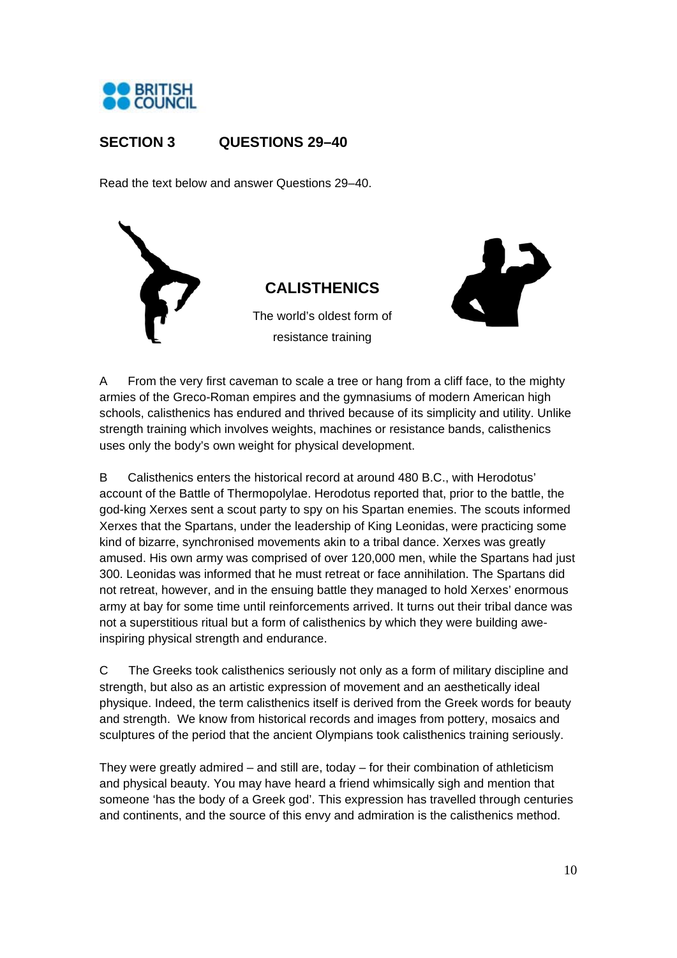

## **SECTION 3 QUESTIONS 29–40**

Read the text below and answer Questions 29–40.





A From the very first caveman to scale a tree or hang from a cliff face, to the mighty armies of the Greco-Roman empires and the gymnasiums of modern American high schools, calisthenics has endured and thrived because of its simplicity and utility. Unlike strength training which involves weights, machines or resistance bands, calisthenics uses only the body's own weight for physical development.

B Calisthenics enters the historical record at around 480 B.C., with Herodotus' account of the Battle of Thermopolylae. Herodotus reported that, prior to the battle, the god-king Xerxes sent a scout party to spy on his Spartan enemies. The scouts informed Xerxes that the Spartans, under the leadership of King Leonidas, were practicing some kind of bizarre, synchronised movements akin to a tribal dance. Xerxes was greatly amused. His own army was comprised of over 120,000 men, while the Spartans had just 300. Leonidas was informed that he must retreat or face annihilation. The Spartans did not retreat, however, and in the ensuing battle they managed to hold Xerxes' enormous army at bay for some time until reinforcements arrived. It turns out their tribal dance was not a superstitious ritual but a form of calisthenics by which they were building aweinspiring physical strength and endurance.

C The Greeks took calisthenics seriously not only as a form of military discipline and strength, but also as an artistic expression of movement and an aesthetically ideal physique. Indeed, the term calisthenics itself is derived from the Greek words for beauty and strength. We know from historical records and images from pottery, mosaics and sculptures of the period that the ancient Olympians took calisthenics training seriously.

They were greatly admired – and still are, today – for their combination of athleticism and physical beauty. You may have heard a friend whimsically sigh and mention that someone 'has the body of a Greek god'. This expression has travelled through centuries and continents, and the source of this envy and admiration is the calisthenics method.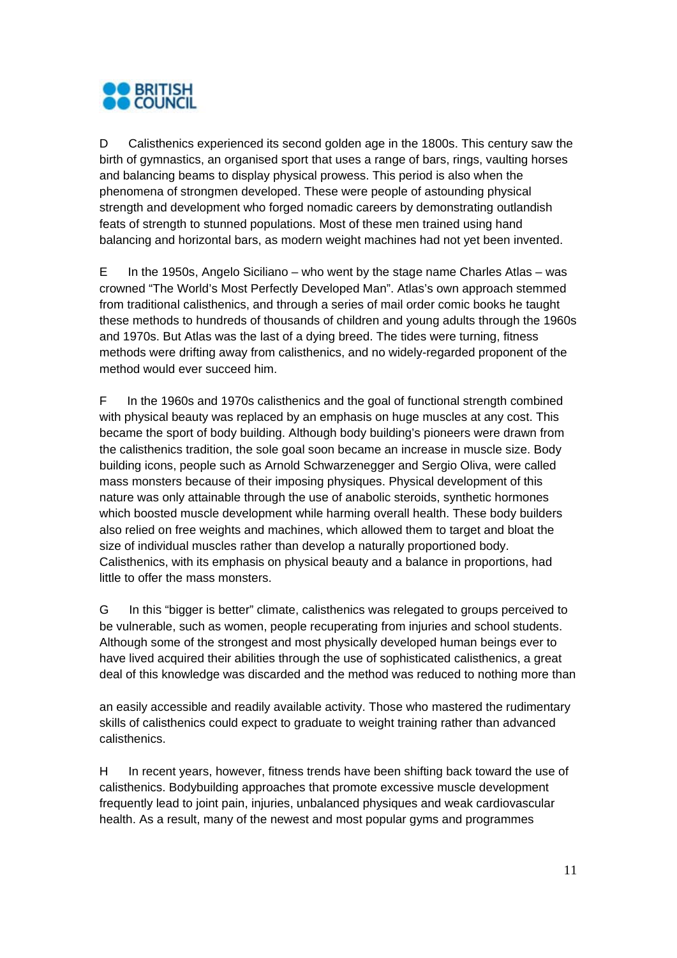

D Calisthenics experienced its second golden age in the 1800s. This century saw the birth of gymnastics, an organised sport that uses a range of bars, rings, vaulting horses and balancing beams to display physical prowess. This period is also when the phenomena of strongmen developed. These were people of astounding physical strength and development who forged nomadic careers by demonstrating outlandish feats of strength to stunned populations. Most of these men trained using hand balancing and horizontal bars, as modern weight machines had not yet been invented.

E In the 1950s, Angelo Siciliano – who went by the stage name Charles Atlas – was crowned "The World's Most Perfectly Developed Man". Atlas's own approach stemmed from traditional calisthenics, and through a series of mail order comic books he taught these methods to hundreds of thousands of children and young adults through the 1960s and 1970s. But Atlas was the last of a dying breed. The tides were turning, fitness methods were drifting away from calisthenics, and no widely-regarded proponent of the method would ever succeed him.

F In the 1960s and 1970s calisthenics and the goal of functional strength combined with physical beauty was replaced by an emphasis on huge muscles at any cost. This became the sport of body building. Although body building's pioneers were drawn from the calisthenics tradition, the sole goal soon became an increase in muscle size. Body building icons, people such as Arnold Schwarzenegger and Sergio Oliva, were called mass monsters because of their imposing physiques. Physical development of this nature was only attainable through the use of anabolic steroids, synthetic hormones which boosted muscle development while harming overall health. These body builders also relied on free weights and machines, which allowed them to target and bloat the size of individual muscles rather than develop a naturally proportioned body. Calisthenics, with its emphasis on physical beauty and a balance in proportions, had little to offer the mass monsters.

G In this "bigger is better" climate, calisthenics was relegated to groups perceived to be vulnerable, such as women, people recuperating from injuries and school students. Although some of the strongest and most physically developed human beings ever to have lived acquired their abilities through the use of sophisticated calisthenics, a great deal of this knowledge was discarded and the method was reduced to nothing more than

an easily accessible and readily available activity. Those who mastered the rudimentary skills of calisthenics could expect to graduate to weight training rather than advanced calisthenics.

H In recent years, however, fitness trends have been shifting back toward the use of calisthenics. Bodybuilding approaches that promote excessive muscle development frequently lead to joint pain, injuries, unbalanced physiques and weak cardiovascular health. As a result, many of the newest and most popular gyms and programmes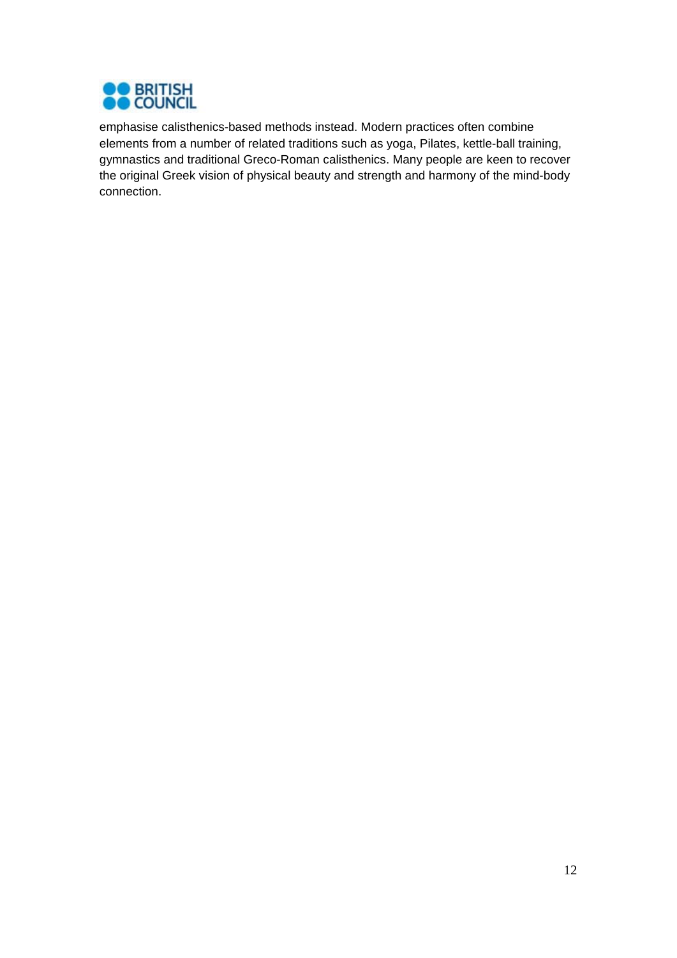

emphasise calisthenics-based methods instead. Modern practices often combine elements from a number of related traditions such as yoga, Pilates, kettle-ball training, gymnastics and traditional Greco-Roman calisthenics. Many people are keen to recover the original Greek vision of physical beauty and strength and harmony of the mind-body connection.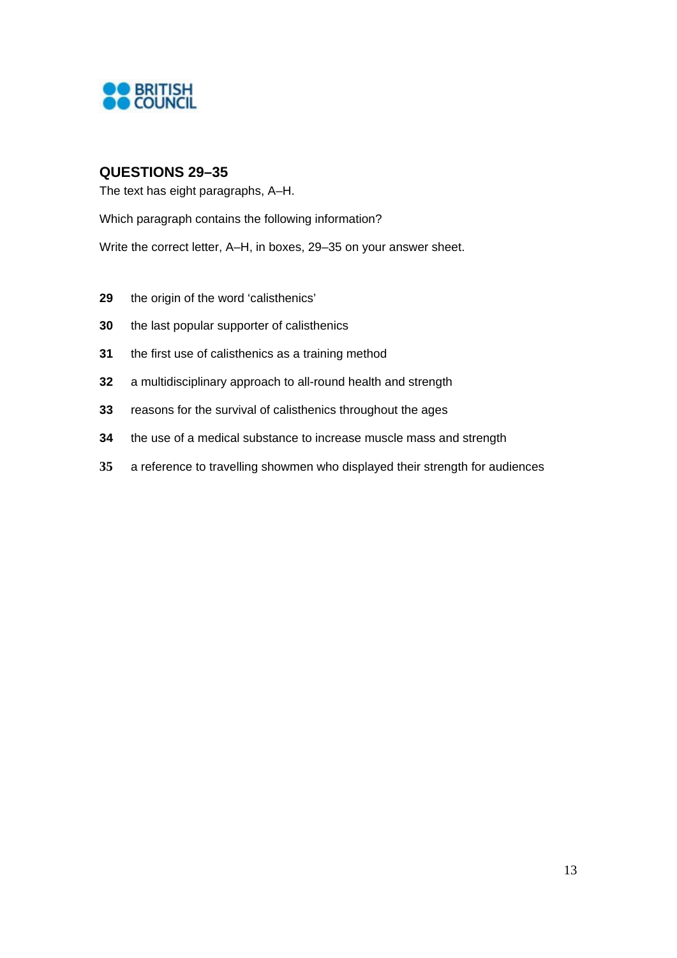

## **QUESTIONS 29–35**

The text has eight paragraphs, A–H.

Which paragraph contains the following information?

Write the correct letter, A–H, in boxes, 29–35 on your answer sheet.

- the origin of the word 'calisthenics'
- the last popular supporter of calisthenics
- the first use of calisthenics as a training method
- a multidisciplinary approach to all-round health and strength
- reasons for the survival of calisthenics throughout the ages
- the use of a medical substance to increase muscle mass and strength
- a reference to travelling showmen who displayed their strength for audiences